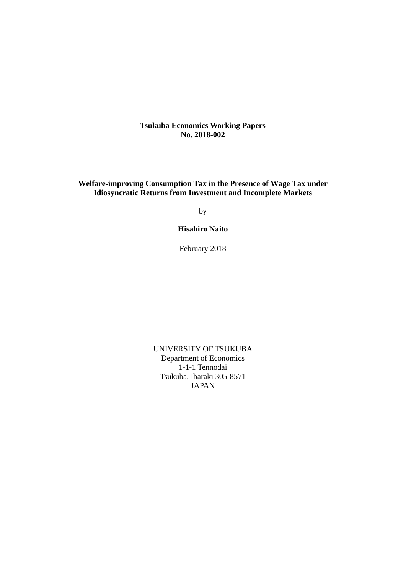**Tsukuba Economics Working Papers No. 2018-002**

**Welfare-improving Consumption Tax in the Presence of Wage Tax under Idiosyncratic Returns from Investment and Incomplete Markets** 

by

**Hisahiro Naito** 

February 2018

UNIVERSITY OF TSUKUBA Department of Economics 1-1-1 Tennodai Tsukuba, Ibaraki 305-8571 JAPAN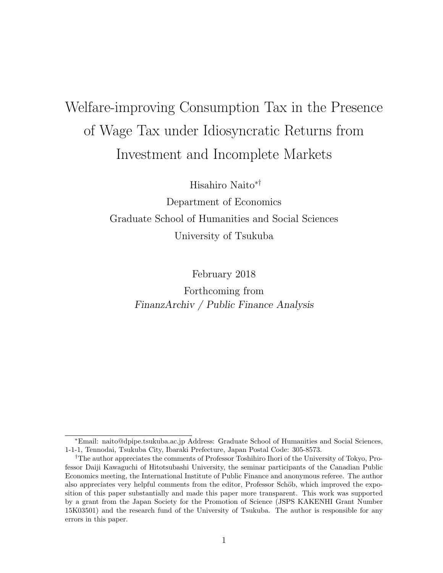# Welfare-improving Consumption Tax in the Presence of Wage Tax under Idiosyncratic Returns from Investment and Incomplete Markets

Hisahiro Naito∗†

Department of Economics Graduate School of Humanities and Social Sciences University of Tsukuba

February 2018

Forthcoming from FinanzArchiv / Public Finance Analysis

<sup>∗</sup>Email: naito@dpipe.tsukuba.ac.jp Address: Graduate School of Humanities and Social Sciences, 1-1-1, Tennodai, Tsukuba City, Ibaraki Prefecture, Japan Postal Code: 305-8573.

<sup>†</sup>The author appreciates the comments of Professor Toshihiro Ihori of the University of Tokyo, Professor Daiji Kawaguchi of Hitotsubashi University, the seminar participants of the Canadian Public Economics meeting, the International Institute of Public Finance and anonymous referee. The author also appreciates very helpful comments from the editor, Professor Schöb, which improved the exposition of this paper substantially and made this paper more transparent. This work was supported by a grant from the Japan Society for the Promotion of Science (JSPS KAKENHI Grant Number 15K03501) and the research fund of the University of Tsukuba. The author is responsible for any errors in this paper.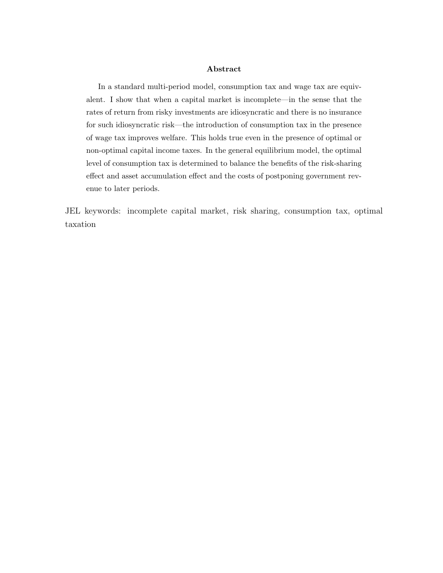#### Abstract

In a standard multi-period model, consumption tax and wage tax are equivalent. I show that when a capital market is incomplete—in the sense that the rates of return from risky investments are idiosyncratic and there is no insurance for such idiosyncratic risk—the introduction of consumption tax in the presence of wage tax improves welfare. This holds true even in the presence of optimal or non-optimal capital income taxes. In the general equilibrium model, the optimal level of consumption tax is determined to balance the benefits of the risk-sharing effect and asset accumulation effect and the costs of postponing government revenue to later periods.

JEL keywords: incomplete capital market, risk sharing, consumption tax, optimal taxation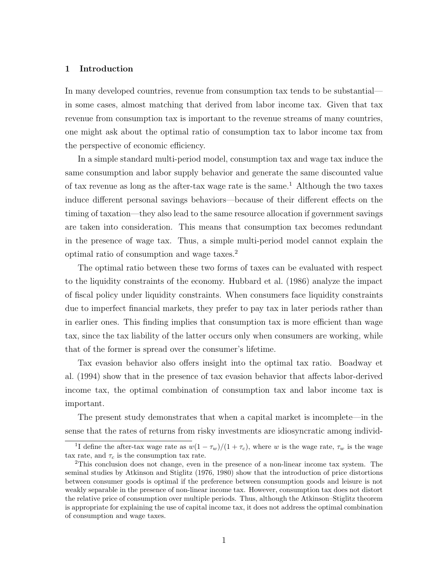#### 1 Introduction

In many developed countries, revenue from consumption tax tends to be substantial in some cases, almost matching that derived from labor income tax. Given that tax revenue from consumption tax is important to the revenue streams of many countries, one might ask about the optimal ratio of consumption tax to labor income tax from the perspective of economic efficiency.

In a simple standard multi-period model, consumption tax and wage tax induce the same consumption and labor supply behavior and generate the same discounted value of tax revenue as long as the after-tax wage rate is the same.<sup>1</sup> Although the two taxes induce different personal savings behaviors—because of their different effects on the timing of taxation—they also lead to the same resource allocation if government savings are taken into consideration. This means that consumption tax becomes redundant in the presence of wage tax. Thus, a simple multi-period model cannot explain the optimal ratio of consumption and wage taxes.<sup>2</sup>

The optimal ratio between these two forms of taxes can be evaluated with respect to the liquidity constraints of the economy. Hubbard et al. (1986) analyze the impact of fiscal policy under liquidity constraints. When consumers face liquidity constraints due to imperfect financial markets, they prefer to pay tax in later periods rather than in earlier ones. This finding implies that consumption tax is more efficient than wage tax, since the tax liability of the latter occurs only when consumers are working, while that of the former is spread over the consumer's lifetime.

Tax evasion behavior also offers insight into the optimal tax ratio. Boadway et al. (1994) show that in the presence of tax evasion behavior that affects labor-derived income tax, the optimal combination of consumption tax and labor income tax is important.

The present study demonstrates that when a capital market is incomplete—in the sense that the rates of returns from risky investments are idiosyncratic among individ-

<sup>&</sup>lt;sup>1</sup>I define the after-tax wage rate as  $w(1 - \tau_w)/(1 + \tau_c)$ , where w is the wage rate,  $\tau_w$  is the wage tax rate, and  $\tau_c$  is the consumption tax rate.

<sup>2</sup>This conclusion does not change, even in the presence of a non-linear income tax system. The seminal studies by Atkinson and Stiglitz (1976, 1980) show that the introduction of price distortions between consumer goods is optimal if the preference between consumption goods and leisure is not weakly separable in the presence of non-linear income tax. However, consumption tax does not distort the relative price of consumption over multiple periods. Thus, although the Atkinson–Stiglitz theorem is appropriate for explaining the use of capital income tax, it does not address the optimal combination of consumption and wage taxes.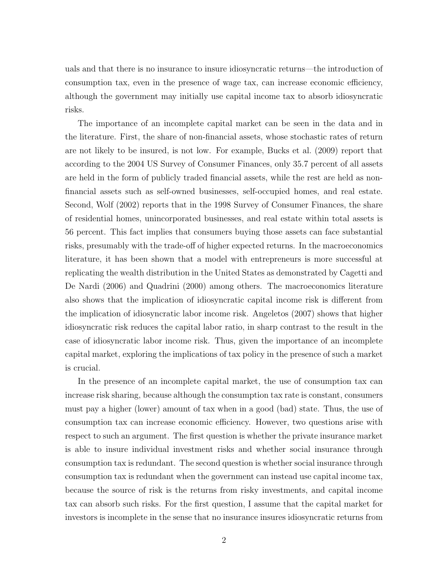uals and that there is no insurance to insure idiosyncratic returns—the introduction of consumption tax, even in the presence of wage tax, can increase economic efficiency, although the government may initially use capital income tax to absorb idiosyncratic risks.

The importance of an incomplete capital market can be seen in the data and in the literature. First, the share of non-financial assets, whose stochastic rates of return are not likely to be insured, is not low. For example, Bucks et al. (2009) report that according to the 2004 US Survey of Consumer Finances, only 35.7 percent of all assets are held in the form of publicly traded financial assets, while the rest are held as nonfinancial assets such as self-owned businesses, self-occupied homes, and real estate. Second, Wolf (2002) reports that in the 1998 Survey of Consumer Finances, the share of residential homes, unincorporated businesses, and real estate within total assets is 56 percent. This fact implies that consumers buying those assets can face substantial risks, presumably with the trade-off of higher expected returns. In the macroeconomics literature, it has been shown that a model with entrepreneurs is more successful at replicating the wealth distribution in the United States as demonstrated by Cagetti and De Nardi (2006) and Quadrini (2000) among others. The macroeconomics literature also shows that the implication of idiosyncratic capital income risk is different from the implication of idiosyncratic labor income risk. Angeletos (2007) shows that higher idiosyncratic risk reduces the capital labor ratio, in sharp contrast to the result in the case of idiosyncratic labor income risk. Thus, given the importance of an incomplete capital market, exploring the implications of tax policy in the presence of such a market is crucial.

In the presence of an incomplete capital market, the use of consumption tax can increase risk sharing, because although the consumption tax rate is constant, consumers must pay a higher (lower) amount of tax when in a good (bad) state. Thus, the use of consumption tax can increase economic efficiency. However, two questions arise with respect to such an argument. The first question is whether the private insurance market is able to insure individual investment risks and whether social insurance through consumption tax is redundant. The second question is whether social insurance through consumption tax is redundant when the government can instead use capital income tax, because the source of risk is the returns from risky investments, and capital income tax can absorb such risks. For the first question, I assume that the capital market for investors is incomplete in the sense that no insurance insures idiosyncratic returns from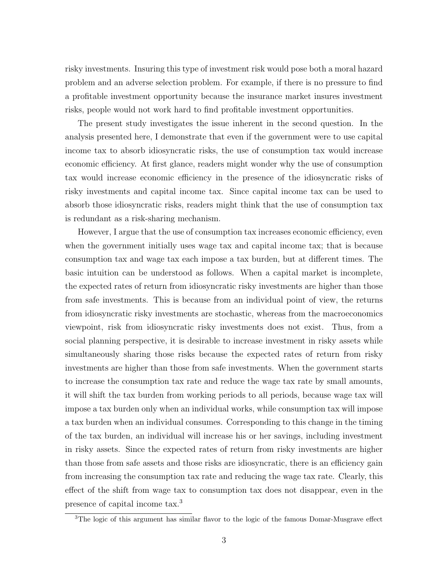risky investments. Insuring this type of investment risk would pose both a moral hazard problem and an adverse selection problem. For example, if there is no pressure to find a profitable investment opportunity because the insurance market insures investment risks, people would not work hard to find profitable investment opportunities.

The present study investigates the issue inherent in the second question. In the analysis presented here, I demonstrate that even if the government were to use capital income tax to absorb idiosyncratic risks, the use of consumption tax would increase economic efficiency. At first glance, readers might wonder why the use of consumption tax would increase economic efficiency in the presence of the idiosyncratic risks of risky investments and capital income tax. Since capital income tax can be used to absorb those idiosyncratic risks, readers might think that the use of consumption tax is redundant as a risk-sharing mechanism.

However, I argue that the use of consumption tax increases economic efficiency, even when the government initially uses wage tax and capital income tax; that is because consumption tax and wage tax each impose a tax burden, but at different times. The basic intuition can be understood as follows. When a capital market is incomplete, the expected rates of return from idiosyncratic risky investments are higher than those from safe investments. This is because from an individual point of view, the returns from idiosyncratic risky investments are stochastic, whereas from the macroeconomics viewpoint, risk from idiosyncratic risky investments does not exist. Thus, from a social planning perspective, it is desirable to increase investment in risky assets while simultaneously sharing those risks because the expected rates of return from risky investments are higher than those from safe investments. When the government starts to increase the consumption tax rate and reduce the wage tax rate by small amounts, it will shift the tax burden from working periods to all periods, because wage tax will impose a tax burden only when an individual works, while consumption tax will impose a tax burden when an individual consumes. Corresponding to this change in the timing of the tax burden, an individual will increase his or her savings, including investment in risky assets. Since the expected rates of return from risky investments are higher than those from safe assets and those risks are idiosyncratic, there is an efficiency gain from increasing the consumption tax rate and reducing the wage tax rate. Clearly, this effect of the shift from wage tax to consumption tax does not disappear, even in the presence of capital income tax.<sup>3</sup>

<sup>&</sup>lt;sup>3</sup>The logic of this argument has similar flavor to the logic of the famous Domar-Musgrave effect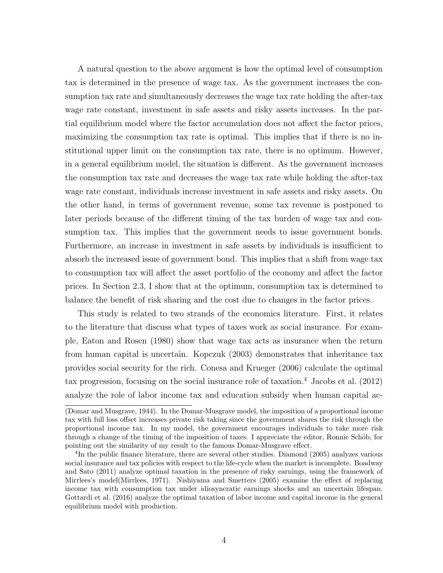A natural question to the above argument is how the optimal level of consumption tax is determined in the presence of wage tax. As the government increases the consumption tax rate and simultaneously decreases the wage tax rate holding the after-tax wage rate constant, investment in safe assets and risky assets increases. In the partial equilibrium model where the factor accumulation does not affect the factor prices, maximizing the consumption tax rate is optimal. This implies that if there is no institutional upper limit on the consumption tax rate, there is no optimum. However, in a general equilibrium model, the situation is different. As the government increases the consumption tax rate and decreases the wage tax rate while holding the after-tax wage rate constant, individuals increase investment in safe assets and risky assets. On the other hand, in terms of government revenue, some tax revenue is postponed to later periods because of the different timing of the tax burden of wage tax and consumption tax. This implies that the government needs to issue government bonds. Furthermore, an increase in investment in safe assets by individuals is insufficient to absorb the increased issue of government bond. This implies that a shift from wage tax to consumption tax will affect the asset portfolio of the economy and affect the factor prices. In Section 2.3, I show that at the optimum, consumption tax is determined to balance the benefit of risk sharing and the cost due to changes in the factor prices.

This study is related to two strands of the economics literature. First, it relates to the literature that discuss what types of taxes work as social insurance. For example, Eaton and Rosen (1980) show that wage tax acts as insurance when the return from human capital is uncertain. Kopczuk (2003) demonstrates that inheritance tax provides social security for the rich. Conesa and Krueger (2006) calculate the optimal tax progression, focusing on the social insurance role of taxation.<sup>4</sup> Jacobs et al.  $(2012)$ analyze the role of labor income tax and education subsidy when human capital ac-

<sup>(</sup>Domar and Musgrave, 1944). In the Domar-Musgrave model, the imposition of a proportional income tax with full loss offset increases private risk taking since the government shares the risk through the proportional income tax. In my model, the government encourages individuals to take more risk through a change of the timing of the imposition of taxes. I appreciate the editor, Ronnie Schöb, for pointing out the similarity of my result to the famous Domar-Musgrave effect.

<sup>&</sup>lt;sup>4</sup>In the public finance literature, there are several other studies. Diamond (2005) analyzes various social insurance and tax policies with respect to the life-cycle when the market is incomplete. Boadway and Sato (2011) analyze optimal taxation in the presence of risky earnings, using the framework of Mirrlees's model(Mirrlees, 1971). Nishiyama and Smetters (2005) examine the effect of replacing income tax with consumption tax under idiosyncratic earnings shocks and an uncertain lifespan. Gottardi et al. (2016) analyze the optimal taxation of labor income and capital income in the general equilibrium model with production.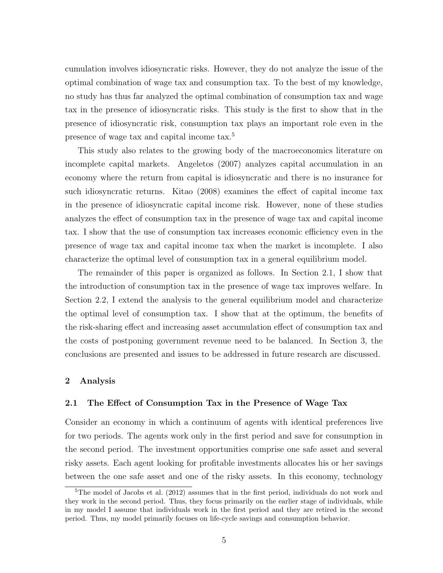cumulation involves idiosyncratic risks. However, they do not analyze the issue of the optimal combination of wage tax and consumption tax. To the best of my knowledge, no study has thus far analyzed the optimal combination of consumption tax and wage tax in the presence of idiosyncratic risks. This study is the first to show that in the presence of idiosyncratic risk, consumption tax plays an important role even in the presence of wage tax and capital income tax.<sup>5</sup>

This study also relates to the growing body of the macroeconomics literature on incomplete capital markets. Angeletos (2007) analyzes capital accumulation in an economy where the return from capital is idiosyncratic and there is no insurance for such idiosyncratic returns. Kitao (2008) examines the effect of capital income tax in the presence of idiosyncratic capital income risk. However, none of these studies analyzes the effect of consumption tax in the presence of wage tax and capital income tax. I show that the use of consumption tax increases economic efficiency even in the presence of wage tax and capital income tax when the market is incomplete. I also characterize the optimal level of consumption tax in a general equilibrium model.

The remainder of this paper is organized as follows. In Section 2.1, I show that the introduction of consumption tax in the presence of wage tax improves welfare. In Section 2.2, I extend the analysis to the general equilibrium model and characterize the optimal level of consumption tax. I show that at the optimum, the benefits of the risk-sharing effect and increasing asset accumulation effect of consumption tax and the costs of postponing government revenue need to be balanced. In Section 3, the conclusions are presented and issues to be addressed in future research are discussed.

### 2 Analysis

### 2.1 The Effect of Consumption Tax in the Presence of Wage Tax

Consider an economy in which a continuum of agents with identical preferences live for two periods. The agents work only in the first period and save for consumption in the second period. The investment opportunities comprise one safe asset and several risky assets. Each agent looking for profitable investments allocates his or her savings between the one safe asset and one of the risky assets. In this economy, technology

 ${}^{5}$ The model of Jacobs et al. (2012) assumes that in the first period, individuals do not work and they work in the second period. Thus, they focus primarily on the earlier stage of individuals, while in my model I assume that individuals work in the first period and they are retired in the second period. Thus, my model primarily focuses on life-cycle savings and consumption behavior.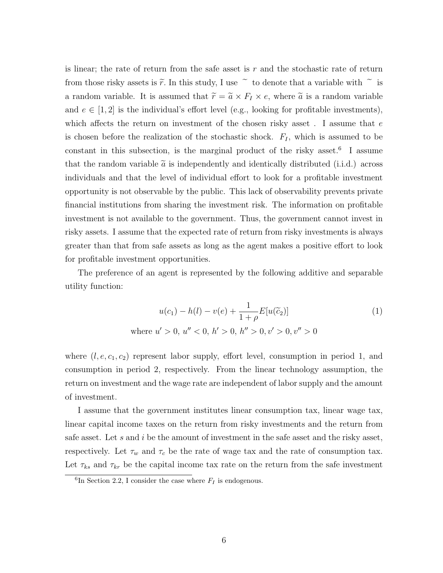is linear; the rate of return from the safe asset is  $r$  and the stochastic rate of return from those risky assets is  $\tilde{r}$ . In this study, I use  $\tilde{r}$  to denote that a variable with  $\tilde{r}$  is a random variable. It is assumed that  $\tilde{r} = \tilde{a} \times F_I \times e$ , where  $\tilde{a}$  is a random variable and  $e \in [1,2]$  is the individual's effort level (e.g., looking for profitable investments), which affects the return on investment of the chosen risky asset. I assume that  $e$ is chosen before the realization of the stochastic shock.  $F_I$ , which is assumed to be constant in this subsection, is the marginal product of the risky asset.<sup>6</sup> I assume that the random variable  $\tilde{a}$  is independently and identically distributed (i.i.d.) across individuals and that the level of individual effort to look for a profitable investment opportunity is not observable by the public. This lack of observability prevents private financial institutions from sharing the investment risk. The information on profitable investment is not available to the government. Thus, the government cannot invest in risky assets. I assume that the expected rate of return from risky investments is always greater than that from safe assets as long as the agent makes a positive effort to look for profitable investment opportunities.

The preference of an agent is represented by the following additive and separable utility function:

$$
u(c_1) - h(l) - v(e) + \frac{1}{1+\rho} E[u(\tilde{c}_2)]
$$
  
where  $u' > 0$ ,  $u'' < 0$ ,  $h' > 0$ ,  $h'' > 0$ ,  $v' > 0$ ,  $v'' > 0$  (1)

where  $(l, e, c_1, c_2)$  represent labor supply, effort level, consumption in period 1, and consumption in period 2, respectively. From the linear technology assumption, the return on investment and the wage rate are independent of labor supply and the amount of investment.

I assume that the government institutes linear consumption tax, linear wage tax, linear capital income taxes on the return from risky investments and the return from safe asset. Let s and i be the amount of investment in the safe asset and the risky asset, respectively. Let  $\tau_w$  and  $\tau_c$  be the rate of wage tax and the rate of consumption tax. Let  $\tau_{ks}$  and  $\tau_{kr}$  be the capital income tax rate on the return from the safe investment

<sup>&</sup>lt;sup>6</sup>In Section 2.2, I consider the case where  $F_I$  is endogenous.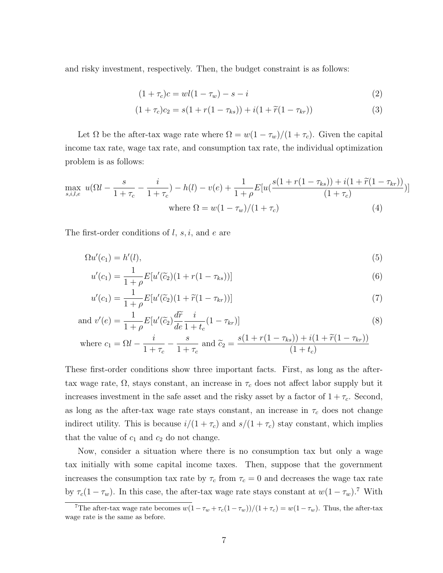and risky investment, respectively. Then, the budget constraint is as follows:

$$
(1 + \tau_c)c = w l (1 - \tau_w) - s - i \tag{2}
$$

$$
(1 + \tau_c)c_2 = s(1 + r(1 - \tau_{ks})) + i(1 + \tilde{r}(1 - \tau_{kr}))
$$
\n(3)

Let  $\Omega$  be the after-tax wage rate where  $\Omega = w(1 - \tau_w)/(1 + \tau_c)$ . Given the capital income tax rate, wage tax rate, and consumption tax rate, the individual optimization problem is as follows:

$$
\max_{s,i,l,e} u(\Omega l - \frac{s}{1+\tau_c} - \frac{i}{1+\tau_c}) - h(l) - v(e) + \frac{1}{1+\rho} E[u(\frac{s(1+r(1-\tau_{ks})) + i(1+\tilde{r}(1-\tau_{kr}))}{(1+\tau_c)})]
$$
\nwhere  $\Omega = w(1-\tau_w)/(1+\tau_c)$  (4)

The first-order conditions of  $l, s, i$ , and  $e$  are

$$
\Omega u'(c_1) = h'(l),\tag{5}
$$

$$
u'(c_1) = \frac{1}{1+\rho} E[u'(\tilde{c}_2)(1+r(1-\tau_{ks}))]
$$
\n(6)

$$
u'(c_1) = \frac{1}{1+\rho} E[u'(\widetilde{c}_2)(1+\widetilde{r}(1-\tau_{kr}))]
$$
\n
$$
\tag{7}
$$

and 
$$
v'(e) = \frac{1}{1+\rho} E[u'(\tilde{c}_2) \frac{d\tilde{r}}{de} \frac{i}{1+t_c} (1-\tau_{kr})]
$$
 (8)

where 
$$
c_1 = \Omega l - \frac{i}{1 + \tau_c} - \frac{s}{1 + \tau_c}
$$
 and  $\tilde{c}_2 = \frac{s(1 + r(1 - \tau_{ks})) + i(1 + \tilde{r}(1 - \tau_{kr}))}{(1 + t_c)}$ 

These first-order conditions show three important facts. First, as long as the aftertax wage rate,  $\Omega$ , stays constant, an increase in  $\tau_c$  does not affect labor supply but it increases investment in the safe asset and the risky asset by a factor of  $1 + \tau_c$ . Second, as long as the after-tax wage rate stays constant, an increase in  $\tau_c$  does not change indirect utility. This is because  $i/(1 + \tau_c)$  and  $s/(1 + \tau_c)$  stay constant, which implies that the value of  $c_1$  and  $c_2$  do not change.

Now, consider a situation where there is no consumption tax but only a wage tax initially with some capital income taxes. Then, suppose that the government increases the consumption tax rate by  $\tau_c$  from  $\tau_c = 0$  and decreases the wage tax rate by  $\tau_c(1-\tau_w)$ . In this case, the after-tax wage rate stays constant at  $w(1-\tau_w)$ .<sup>7</sup> With

<sup>&</sup>lt;sup>7</sup>The after-tax wage rate becomes  $w(1 - \tau_w + \tau_c(1 - \tau_w))/(1 + \tau_c) = w(1 - \tau_w)$ . Thus, the after-tax wage rate is the same as before.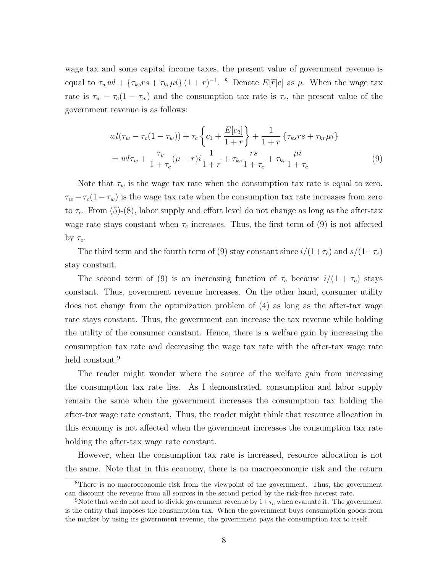wage tax and some capital income taxes, the present value of government revenue is equal to  $\tau_w w l + \{\tau_{ks} rs + \tau_{kr} \mu i\} (1+r)^{-1}$ . <sup>8</sup> Denote  $E[\tilde{r}|e]$  as  $\mu$ . When the wage tax rate is  $\tau_w - \tau_c(1 - \tau_w)$  and the consumption tax rate is  $\tau_c$ , the present value of the government revenue is as follows:

$$
wl(\tau_w - \tau_c(1 - \tau_w)) + \tau_c \left\{ c_1 + \frac{E[c_2]}{1+r} \right\} + \frac{1}{1+r} \left\{ \tau_{ks} rs + \tau_{kr} \mu i \right\}
$$
  
= 
$$
wl\tau_w + \frac{\tau_c}{1+\tau_c} (\mu - r) i \frac{1}{1+r} + \tau_{ks} \frac{rs}{1+\tau_c} + \tau_{kr} \frac{\mu i}{1+\tau_c}
$$
 (9)

Note that  $\tau_w$  is the wage tax rate when the consumption tax rate is equal to zero.  $\tau_w - \tau_c(1-\tau_w)$  is the wage tax rate when the consumption tax rate increases from zero to  $\tau_c$ . From (5)-(8), labor supply and effort level do not change as long as the after-tax wage rate stays constant when  $\tau_c$  increases. Thus, the first term of (9) is not affected by  $\tau_c$ .

The third term and the fourth term of (9) stay constant since  $i/(1+\tau_c)$  and  $s/(1+\tau_c)$ stay constant.

The second term of (9) is an increasing function of  $\tau_c$  because  $i/(1 + \tau_c)$  stays constant. Thus, government revenue increases. On the other hand, consumer utility does not change from the optimization problem of (4) as long as the after-tax wage rate stays constant. Thus, the government can increase the tax revenue while holding the utility of the consumer constant. Hence, there is a welfare gain by increasing the consumption tax rate and decreasing the wage tax rate with the after-tax wage rate held constant.<sup>9</sup>

The reader might wonder where the source of the welfare gain from increasing the consumption tax rate lies. As I demonstrated, consumption and labor supply remain the same when the government increases the consumption tax holding the after-tax wage rate constant. Thus, the reader might think that resource allocation in this economy is not affected when the government increases the consumption tax rate holding the after-tax wage rate constant.

However, when the consumption tax rate is increased, resource allocation is not the same. Note that in this economy, there is no macroeconomic risk and the return

<sup>8</sup>There is no macroeconomic risk from the viewpoint of the government. Thus, the government can discount the revenue from all sources in the second period by the risk-free interest rate.

<sup>&</sup>lt;sup>9</sup>Note that we do not need to divide government revenue by  $1+\tau_c$  when evaluate it. The government is the entity that imposes the consumption tax. When the government buys consumption goods from the market by using its government revenue, the government pays the consumption tax to itself.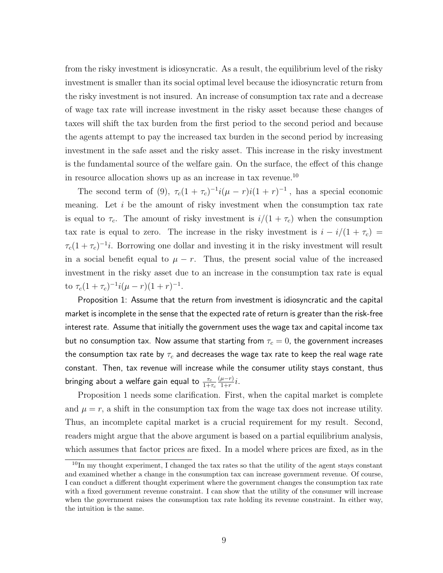from the risky investment is idiosyncratic. As a result, the equilibrium level of the risky investment is smaller than its social optimal level because the idiosyncratic return from the risky investment is not insured. An increase of consumption tax rate and a decrease of wage tax rate will increase investment in the risky asset because these changes of taxes will shift the tax burden from the first period to the second period and because the agents attempt to pay the increased tax burden in the second period by increasing investment in the safe asset and the risky asset. This increase in the risky investment is the fundamental source of the welfare gain. On the surface, the effect of this change in resource allocation shows up as an increase in tax revenue.<sup>10</sup>

The second term of (9),  $\tau_c(1+\tau_c)^{-1}i(\mu-r)i(1+r)^{-1}$ , has a special economic meaning. Let  $i$  be the amount of risky investment when the consumption tax rate is equal to  $\tau_c$ . The amount of risky investment is  $i/(1 + \tau_c)$  when the consumption tax rate is equal to zero. The increase in the risky investment is  $i - i/(1 + \tau_c)$  $\tau_c(1+\tau_c)^{-1}i$ . Borrowing one dollar and investing it in the risky investment will result in a social benefit equal to  $\mu - r$ . Thus, the present social value of the increased investment in the risky asset due to an increase in the consumption tax rate is equal to  $\tau_c(1+\tau_c)^{-1}i(\mu-r)(1+r)^{-1}$ .

Proposition 1: Assume that the return from investment is idiosyncratic and the capital market is incomplete in the sense that the expected rate of return is greater than the risk-free interest rate. Assume that initially the government uses the wage tax and capital income tax but no consumption tax. Now assume that starting from  $\tau_c = 0$ , the government increases the consumption tax rate by  $\tau_c$  and decreases the wage tax rate to keep the real wage rate constant. Then, tax revenue will increase while the consumer utility stays constant, thus bringing about a welfare gain equal to  $\frac{\tau_c}{1+\tau_c}$  $(\mu-r)$  $rac{\mu-r}{1+r}i.$ 

Proposition 1 needs some clarification. First, when the capital market is complete and  $\mu = r$ , a shift in the consumption tax from the wage tax does not increase utility. Thus, an incomplete capital market is a crucial requirement for my result. Second, readers might argue that the above argument is based on a partial equilibrium analysis, which assumes that factor prices are fixed. In a model where prices are fixed, as in the

 $10$ In my thought experiment, I changed the tax rates so that the utility of the agent stays constant and examined whether a change in the consumption tax can increase government revenue. Of course, I can conduct a different thought experiment where the government changes the consumption tax rate with a fixed government revenue constraint. I can show that the utility of the consumer will increase when the government raises the consumption tax rate holding its revenue constraint. In either way, the intuition is the same.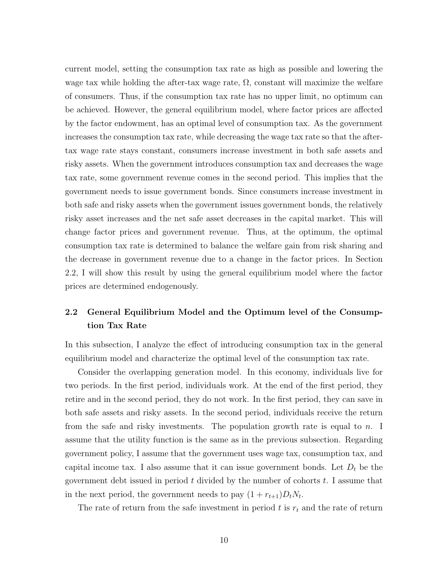current model, setting the consumption tax rate as high as possible and lowering the wage tax while holding the after-tax wage rate,  $\Omega$ , constant will maximize the welfare of consumers. Thus, if the consumption tax rate has no upper limit, no optimum can be achieved. However, the general equilibrium model, where factor prices are affected by the factor endowment, has an optimal level of consumption tax. As the government increases the consumption tax rate, while decreasing the wage tax rate so that the aftertax wage rate stays constant, consumers increase investment in both safe assets and risky assets. When the government introduces consumption tax and decreases the wage tax rate, some government revenue comes in the second period. This implies that the government needs to issue government bonds. Since consumers increase investment in both safe and risky assets when the government issues government bonds, the relatively risky asset increases and the net safe asset decreases in the capital market. This will change factor prices and government revenue. Thus, at the optimum, the optimal consumption tax rate is determined to balance the welfare gain from risk sharing and the decrease in government revenue due to a change in the factor prices. In Section 2.2, I will show this result by using the general equilibrium model where the factor prices are determined endogenously.

# 2.2 General Equilibrium Model and the Optimum level of the Consumption Tax Rate

In this subsection, I analyze the effect of introducing consumption tax in the general equilibrium model and characterize the optimal level of the consumption tax rate.

Consider the overlapping generation model. In this economy, individuals live for two periods. In the first period, individuals work. At the end of the first period, they retire and in the second period, they do not work. In the first period, they can save in both safe assets and risky assets. In the second period, individuals receive the return from the safe and risky investments. The population growth rate is equal to n. I assume that the utility function is the same as in the previous subsection. Regarding government policy, I assume that the government uses wage tax, consumption tax, and capital income tax. I also assume that it can issue government bonds. Let  $D_t$  be the government debt issued in period  $t$  divided by the number of cohorts  $t$ . I assume that in the next period, the government needs to pay  $(1 + r_{t+1})D_tN_t$ .

The rate of return from the safe investment in period  $t$  is  $r_t$  and the rate of return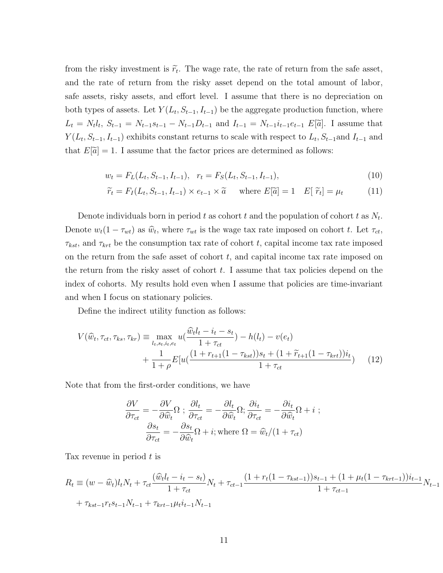from the risky investment is  $\tilde{r}_t$ . The wage rate, the rate of return from the safe asset, and the rate of return from the risky asset depend on the total amount of labor, safe assets, risky assets, and effort level. I assume that there is no depreciation on both types of assets. Let  $Y(L_t, S_{t-1}, I_{t-1})$  be the aggregate production function, where  $L_t = N_t l_t, S_{t-1} = N_{t-1} s_{t-1} - N_{t-1} D_{t-1}$  and  $I_{t-1} = N_{t-1} i_{t-1} e_{t-1} E[\tilde{a}]$ . I assume that  $Y(L_t, S_{t-1}, I_{t-1})$  exhibits constant returns to scale with respect to  $L_t, S_{t-1}$  and  $I_{t-1}$  and that  $E[\tilde{a}] = 1$ . I assume that the factor prices are determined as follows:

$$
w_t = F_L(L_t, S_{t-1}, I_{t-1}), \quad r_t = F_S(L_t, S_{t-1}, I_{t-1}), \tag{10}
$$

$$
\widetilde{r}_t = F_I(L_t, S_{t-1}, I_{t-1}) \times e_{t-1} \times \widetilde{a} \quad \text{where } E[\widetilde{a}] = 1 \quad E[\ \widetilde{r}_t] = \mu_t \tag{11}
$$

Denote individuals born in period t as cohort t and the population of cohort t as  $N_t$ . Denote  $w_t(1 - \tau_{wt})$  as  $\hat{w}_t$ , where  $\tau_{wt}$  is the wage tax rate imposed on cohort t. Let  $\tau_{ct}$ ,  $\tau_{kst}$ , and  $\tau_{krt}$  be the consumption tax rate of cohort t, capital income tax rate imposed on the return from the safe asset of cohort  $t$ , and capital income tax rate imposed on the return from the risky asset of cohort  $t$ . I assume that tax policies depend on the index of cohorts. My results hold even when I assume that policies are time-invariant and when I focus on stationary policies.

Define the indirect utility function as follows:

$$
V(\widehat{w}_t, \tau_{ct}, \tau_{ks}, \tau_{kr}) \equiv \max_{l_t, s_t, i_t, e_t} u(\frac{\widehat{w}_t l_t - i_t - s_t}{1 + \tau_{ct}}) - h(l_t) - v(e_t) + \frac{1}{1 + \rho} E[u(\frac{(1 + r_{t+1}(1 - \tau_{kst}))s_t + (1 + \widetilde{r}_{t+1}(1 - \tau_{krt}))i_t}{1 + \tau_{ct}})
$$
(12)

Note that from the first-order conditions, we have

$$
\frac{\partial V}{\partial \tau_{ct}} = -\frac{\partial V}{\partial \widehat{w}_t} \Omega \; ; \; \frac{\partial l_t}{\partial \tau_{ct}} = -\frac{\partial l_t}{\partial \widehat{w}_t} \Omega ; \frac{\partial i_t}{\partial \tau_{ct}} = -\frac{\partial i_t}{\partial \widehat{w}_t} \Omega + i \; ;
$$
\n
$$
\frac{\partial s_t}{\partial \tau_{ct}} = -\frac{\partial s_t}{\partial \widehat{w}_t} \Omega + i \; ; \text{where } \Omega = \widehat{w}_t / (1 + \tau_{ct})
$$

Tax revenue in period  $t$  is

$$
R_t \equiv (w - \hat{w}_t)l_t N_t + \tau_{ct} \frac{(\hat{w}_t l_t - i_t - s_t)}{1 + \tau_{ct}} N_t + \tau_{ct-1} \frac{(1 + r_t(1 - \tau_{kst-1}))s_{t-1} + (1 + \mu_t(1 - \tau_{krt-1}))i_{t-1}}{1 + \tau_{ct-1}}
$$
  
+ 
$$
\tau_{kst-1} r_t s_{t-1} N_{t-1} + \tau_{krt-1} \mu_t i_{t-1} N_{t-1}
$$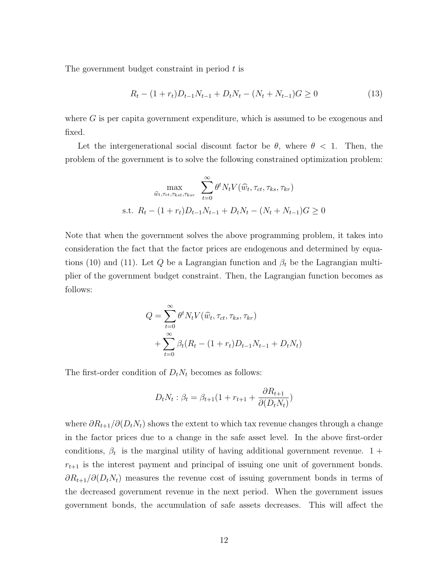The government budget constraint in period  $t$  is

$$
R_t - (1 + r_t)D_{t-1}N_{t-1} + D_tN_t - (N_t + N_{t-1})G \ge 0
$$
\n
$$
(13)
$$

where  $G$  is per capita government expenditure, which is assumed to be exogenous and fixed.

Let the intergenerational social discount factor be  $\theta$ , where  $\theta$  < 1. Then, the problem of the government is to solve the following constrained optimization problem:

$$
\max_{\widehat{w}_t, \tau_{ct}, \tau_{kst}, \tau_{ksr}} \sum_{t=0}^{\infty} \theta^t N_t V(\widehat{w}_t, \tau_{ct}, \tau_{ks}, \tau_{kr})
$$
  
s.t.  $R_t - (1 + r_t)D_{t-1}N_{t-1} + D_tN_t - (N_t + N_{t-1})G \ge 0$ 

Note that when the government solves the above programming problem, it takes into consideration the fact that the factor prices are endogenous and determined by equations (10) and (11). Let Q be a Lagrangian function and  $\beta_t$  be the Lagrangian multiplier of the government budget constraint. Then, the Lagrangian function becomes as follows:

$$
Q = \sum_{t=0}^{\infty} \theta^t N_t V(\widehat{w}_t, \tau_{ct}, \tau_{ks}, \tau_{kr})
$$
  
+ 
$$
\sum_{t=0}^{\infty} \beta_t (R_t - (1+r_t)D_{t-1}N_{t-1} + D_tN_t)
$$

The first-order condition of  $D_tN_t$  becomes as follows:

$$
D_t N_t : \beta_t = \beta_{t+1} (1 + r_{t+1} + \frac{\partial R_{t+1}}{\partial (D_t N_t)})
$$

where  $\partial R_{t+1}/\partial(D_tN_t)$  shows the extent to which tax revenue changes through a change in the factor prices due to a change in the safe asset level. In the above first-order conditions,  $\beta_t$  is the marginal utility of having additional government revenue. 1 +  $r_{t+1}$  is the interest payment and principal of issuing one unit of government bonds.  $\partial R_{t+1}/\partial(D_t N_t)$  measures the revenue cost of issuing government bonds in terms of the decreased government revenue in the next period. When the government issues government bonds, the accumulation of safe assets decreases. This will affect the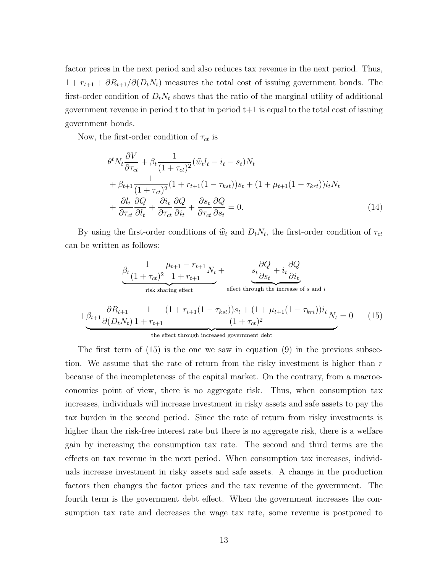factor prices in the next period and also reduces tax revenue in the next period. Thus,  $1 + r_{t+1} + \partial R_{t+1}/\partial(D_t N_t)$  measures the total cost of issuing government bonds. The first-order condition of  $D_t N_t$  shows that the ratio of the marginal utility of additional government revenue in period t to that in period  $t+1$  is equal to the total cost of issuing government bonds.

Now, the first-order condition of  $\tau_{ct}$  is

$$
\theta^t N_t \frac{\partial V}{\partial \tau_{ct}} + \beta_t \frac{1}{(1 + \tau_{ct})^2} (\hat{w}_t l_t - i_t - s_t) N_t \n+ \beta_{t+1} \frac{1}{(1 + \tau_{ct})^2} (1 + r_{t+1} (1 - \tau_{kst})) s_t + (1 + \mu_{t+1} (1 - \tau_{krt})) i_t N_t \n+ \frac{\partial l_t}{\partial \tau_{ct}} \frac{\partial Q}{\partial l_t} + \frac{\partial i_t}{\partial \tau_{ct}} \frac{\partial Q}{\partial i_t} + \frac{\partial s_t}{\partial \tau_{ct}} \frac{\partial Q}{\partial s_t} = 0.
$$
\n(14)

By using the first-order conditions of  $\hat{w}_t$  and  $D_tN_t$ , the first-order condition of  $\tau_{ct}$ can be written as follows:

$$
\frac{\beta_t \frac{1}{(1+\tau_{ct})^2} \frac{\mu_{t+1} - r_{t+1}}{1+r_{t+1}} N_t + \underbrace{s_t \frac{\partial Q}{\partial s_t} + i_t \frac{\partial Q}{\partial i_t}}_{\text{risk sharing effect}} + \beta_{t+1} \frac{\partial R_{t+1}}{\partial (D_t N_t)} \frac{1}{1+r_{t+1}} \frac{(1+r_{t+1}(1-\tau_{kst}))s_t + (1+\mu_{t+1}(1-\tau_{krt}))i_t}{(1+\tau_{ct})^2} N_t = 0 \quad (15)
$$

the effect through increased government debt

The first term of  $(15)$  is the one we saw in equation  $(9)$  in the previous subsection. We assume that the rate of return from the risky investment is higher than  $r$ because of the incompleteness of the capital market. On the contrary, from a macroeconomics point of view, there is no aggregate risk. Thus, when consumption tax increases, individuals will increase investment in risky assets and safe assets to pay the tax burden in the second period. Since the rate of return from risky investments is higher than the risk-free interest rate but there is no aggregate risk, there is a welfare gain by increasing the consumption tax rate. The second and third terms are the effects on tax revenue in the next period. When consumption tax increases, individuals increase investment in risky assets and safe assets. A change in the production factors then changes the factor prices and the tax revenue of the government. The fourth term is the government debt effect. When the government increases the consumption tax rate and decreases the wage tax rate, some revenue is postponed to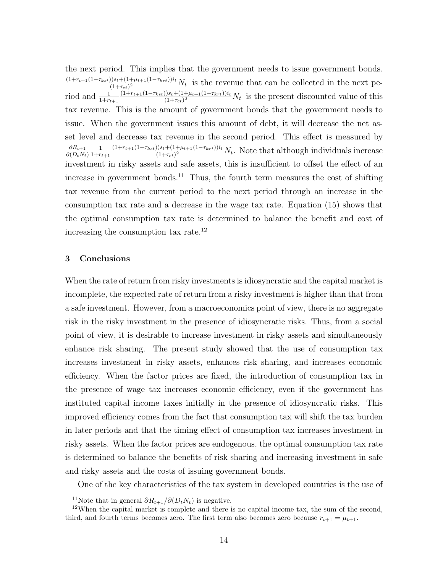the next period. This implies that the government needs to issue government bonds.  $(1+r_{t+1}(1-\tau_{kst}))s_t+(1+\mu_{t+1}(1-\tau_{krt}))i_t$  $\frac{(1+\tau_{ct})^{3k+1}}{(1+\tau_{ct})^2}N_t$  is the revenue that can be collected in the next period and  $\frac{1}{1+r_{t+1}}$  $(1+r_{t+1}(1-\tau_{kst}))s_t+(1+\mu_{t+1}(1-\tau_{krt}))i_t$  $\frac{(1+\tau_{et})^{1/2}+(1+\mu_{t+1}(1-\tau_{krt}))^{n_t}}{(1+\tau_{ct})^2}N_t$  is the present discounted value of this tax revenue. This is the amount of government bonds that the government needs to issue. When the government issues this amount of debt, it will decrease the net asset level and decrease tax revenue in the second period. This effect is measured by  $\partial R_{t+1}$  $\partial(D_tN_t)$ 1  $1 + r_{t+1}$  $(1+r_{t+1}(1-\tau_{kst}))s_t+(1+\mu_{t+1}(1-\tau_{krt}))i_t$  $\frac{(1+\tau_{ct})^{3s}+(1+\mu_{t+1}(1-\tau_{krt}))^{n_t}}{(1+\tau_{ct})^2}N_t$ . Note that although individuals increase investment in risky assets and safe assets, this is insufficient to offset the effect of an increase in government bonds.<sup>11</sup> Thus, the fourth term measures the cost of shifting tax revenue from the current period to the next period through an increase in the consumption tax rate and a decrease in the wage tax rate. Equation (15) shows that the optimal consumption tax rate is determined to balance the benefit and cost of increasing the consumption tax rate.<sup>12</sup>

## 3 Conclusions

When the rate of return from risky investments is idiosyncratic and the capital market is incomplete, the expected rate of return from a risky investment is higher than that from a safe investment. However, from a macroeconomics point of view, there is no aggregate risk in the risky investment in the presence of idiosyncratic risks. Thus, from a social point of view, it is desirable to increase investment in risky assets and simultaneously enhance risk sharing. The present study showed that the use of consumption tax increases investment in risky assets, enhances risk sharing, and increases economic efficiency. When the factor prices are fixed, the introduction of consumption tax in the presence of wage tax increases economic efficiency, even if the government has instituted capital income taxes initially in the presence of idiosyncratic risks. This improved efficiency comes from the fact that consumption tax will shift the tax burden in later periods and that the timing effect of consumption tax increases investment in risky assets. When the factor prices are endogenous, the optimal consumption tax rate is determined to balance the benefits of risk sharing and increasing investment in safe and risky assets and the costs of issuing government bonds.

One of the key characteristics of the tax system in developed countries is the use of

<sup>&</sup>lt;sup>11</sup>Note that in general  $\partial R_{t+1}/\partial(D_tN_t)$  is negative.

 $12$ When the capital market is complete and there is no capital income tax, the sum of the second, third, and fourth terms becomes zero. The first term also becomes zero because  $r_{t+1} = \mu_{t+1}$ .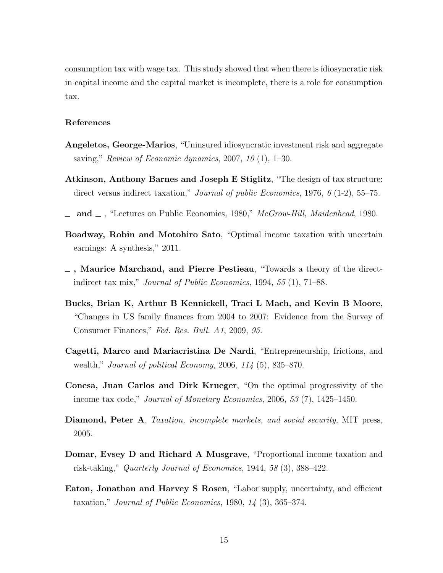consumption tax with wage tax. This study showed that when there is idiosyncratic risk in capital income and the capital market is incomplete, there is a role for consumption tax.

#### References

- Angeletos, George-Marios, "Uninsured idiosyncratic investment risk and aggregate saving," Review of Economic dynamics,  $2007$ ,  $10(1)$ ,  $1-30$ .
- Atkinson, Anthony Barnes and Joseph E Stiglitz, "The design of tax structure: direct versus indirect taxation," *Journal of public Economics*, 1976,  $\ell$  (1-2), 55–75.
- $\Delta$  and  $\Delta$ , "Lectures on Public Economics, 1980," McGrow-Hill, Maidenhead, 1980.
- Boadway, Robin and Motohiro Sato, "Optimal income taxation with uncertain earnings: A synthesis," 2011.
- $\overline{\phantom{a}}$ , Maurice Marchand, and Pierre Pestieau, "Towards a theory of the directindirect tax mix," Journal of Public Economics, 1994, 55 (1), 71–88.
- Bucks, Brian K, Arthur B Kennickell, Traci L Mach, and Kevin B Moore, "Changes in US family finances from 2004 to 2007: Evidence from the Survey of Consumer Finances," Fed. Res. Bull. A1, 2009, 95.
- Cagetti, Marco and Mariacristina De Nardi, "Entrepreneurship, frictions, and wealth," Journal of political Economy, 2006, 114 (5), 835–870.
- Conesa, Juan Carlos and Dirk Krueger, "On the optimal progressivity of the income tax code," Journal of Monetary Economics, 2006, 53 (7), 1425–1450.
- Diamond, Peter A, Taxation, incomplete markets, and social security, MIT press, 2005.
- Domar, Evsey D and Richard A Musgrave, "Proportional income taxation and risk-taking," Quarterly Journal of Economics, 1944, 58 (3), 388–422.
- Eaton, Jonathan and Harvey S Rosen, "Labor supply, uncertainty, and efficient taxation," Journal of Public Economics, 1980,  $14$  (3), 365–374.